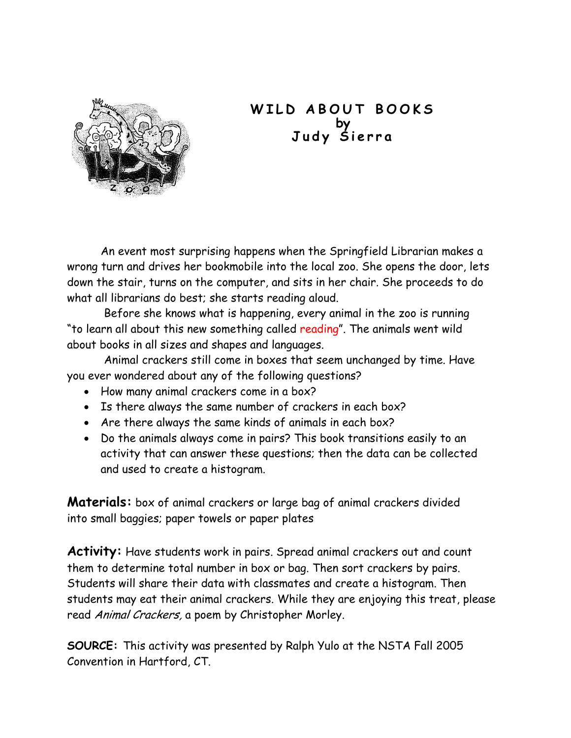

## **WILD ABOUT BOOKS by Judy Sierra**

An event most surprising happens when the Springfield Librarian makes a wrong turn and drives her bookmobile into the local zoo. She opens the door, lets down the stair, turns on the computer, and sits in her chair. She proceeds to do what all librarians do best; she starts reading aloud.

Before she knows what is happening, every animal in the zoo is running "to learn all about this new something called reading". The animals went wild about books in all sizes and shapes and languages.

Animal crackers still come in boxes that seem unchanged by time. Have you ever wondered about any of the following questions?

- How many animal crackers come in a box?
- Is there always the same number of crackers in each box?
- Are there always the same kinds of animals in each box?
- Do the animals always come in pairs? This book transitions easily to an activity that can answer these questions; then the data can be collected and used to create a histogram.

**Materials:** box of animal crackers or large bag of animal crackers divided into small baggies; paper towels or paper plates

**Activity:** Have students work in pairs. Spread animal crackers out and count them to determine total number in box or bag. Then sort crackers by pairs. Students will share their data with classmates and create a histogram. Then students may eat their animal crackers. While they are enjoying this treat, please read Animal Crackers, a poem by Christopher Morley.

**SOURCE:** This activity was presented by Ralph Yulo at the NSTA Fall 2005 Convention in Hartford, CT.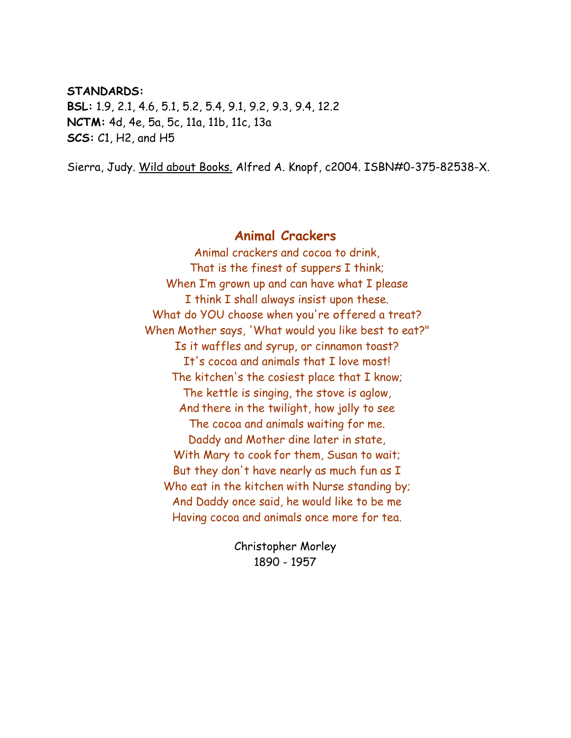#### **STANDARDS:**

**BSL:** 1.9, 2.1, 4.6, 5.1, 5.2, 5.4, 9.1, 9.2, 9.3, 9.4, 12.2 **NCTM:** 4d, 4e, 5a, 5c, 11a, 11b, 11c, 13a **SCS:** C1, H2, and H5

Sierra, Judy. Wild about Books. Alfred A. Knopf, c2004. ISBN#0-375-82538-X.

### **Animal Crackers**

Animal crackers and cocoa to drink, That is the finest of suppers I think; When I'm grown up and can have what I please I think I shall always insist upon these. What do YOU choose when you're offered a treat? When Mother says, 'What would you like best to eat?" Is it waffles and syrup, or cinnamon toast? It's cocoa and animals that I love most! The kitchen's the cosiest place that I know; The kettle is singing, the stove is aglow, And there in the twilight, how jolly to see The cocoa and animals waiting for me. Daddy and Mother dine later in state, With Mary to cook for them, Susan to wait; But they don't have nearly as much fun as I Who eat in the kitchen with Nurse standing by; And Daddy once said, he would like to be me Having cocoa and animals once more for tea.

> Christopher Morley 1890 - 1957